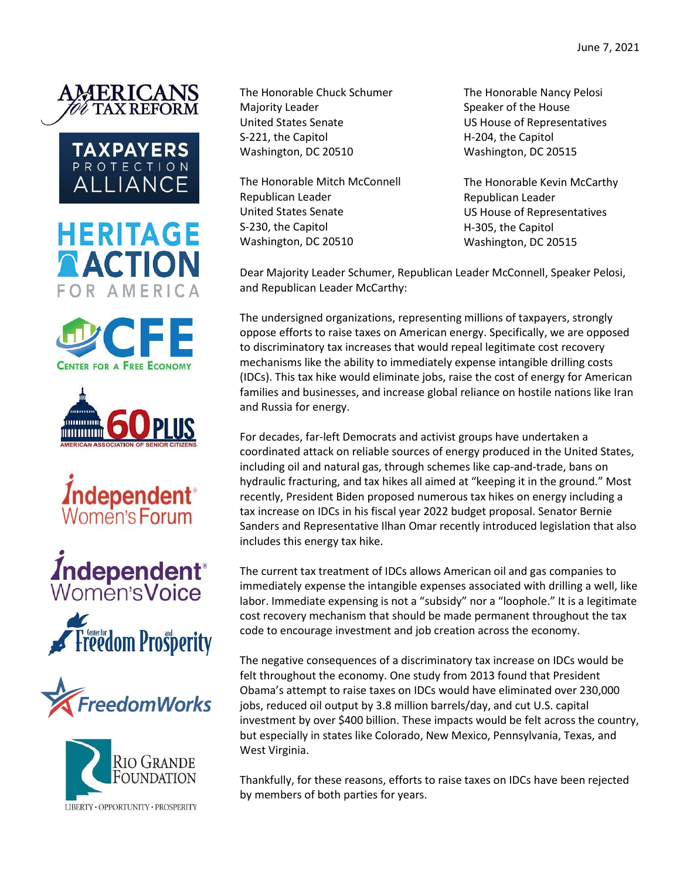

















The Honorable Chuck Schumer Majority Leader United States Senate S-221, the Capitol Washington, DC 20510

The Honorable Mitch McConnell Republican Leader United States Senate S-230, the Capitol Washington, DC 20510

The Honorable Nancy Pelosi Speaker of the House US House of Representatives H-204, the Capitol Washington, DC 20515

The Honorable Kevin McCarthy Republican Leader US House of Representatives H-305, the Capitol Washington, DC 20515

Dear Majority Leader Schumer, Republican Leader McConnell, Speaker Pelosi, and Republican Leader McCarthy:

The undersigned organizations, representing millions of taxpayers, strongly oppose efforts to raise taxes on American energy. Specifically, we are opposed to discriminatory tax increases that would repeal legitimate cost recovery mechanisms like the ability to immediately expense intangible drilling costs (IDCs). This tax hike would eliminate jobs, raise the cost of energy for American families and businesses, and increase global reliance on hostile nations like Iran and Russia for energy.

For decades, far-left Democrats and activist groups have undertaken a coordinated attack on reliable sources of energy produced in the United States, including oil and natural gas, through schemes like cap-and-trade, bans on hydraulic fracturing, and tax hikes all aimed at "keeping it in the ground." Most recently, President Biden proposed numerous tax hikes on energy including a tax increase on IDCs in his fiscal year 2022 budget proposal. Senator Bernie Sanders and Representative Ilhan Omar recently introduced legislation that also includes this energy tax hike.

The current tax treatment of IDCs allows American oil and gas companies to immediately expense the intangible expenses associated with drilling a well, like labor. Immediate expensing is not a "subsidy" nor a "loophole." It is a legitimate cost recovery mechanism that should be made permanent throughout the tax code to encourage investment and job creation across the economy.

The negative consequences of a discriminatory tax increase on IDCs would be felt throughout the economy. One study from 2013 found that President Obama's attempt to raise taxes on IDCs would have eliminated over 230,000 jobs, reduced oil output by 3.8 million barrels/day, and cut U.S. capital investment by over \$400 billion. These impacts would be felt across the country, but especially in states like Colorado, New Mexico, Pennsylvania, Texas, and West Virginia.

Thankfully, for these reasons, efforts to raise taxes on IDCs have been rejected by members of both parties for years.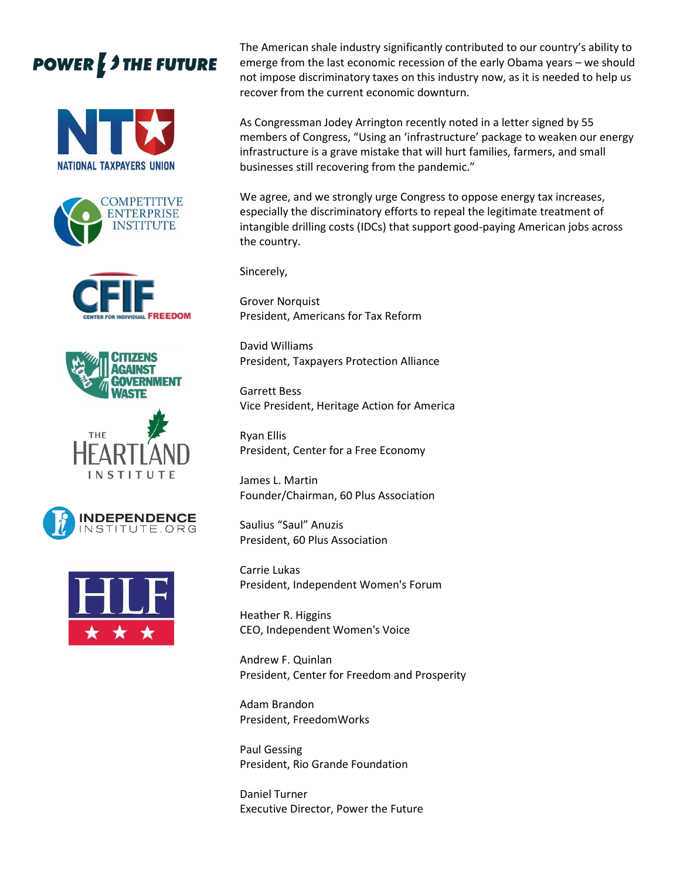## **POWER 3 THE FUTURE**















The American shale industry significantly contributed to our country's ability to emerge from the last economic recession of the early Obama years – we should not impose discriminatory taxes on this industry now, as it is needed to help us recover from the current economic downturn.

As Congressman Jodey Arrington recently noted in a letter signed by 55 members of Congress, "Using an 'infrastructure' package to weaken our energy infrastructure is a grave mistake that will hurt families, farmers, and small businesses still recovering from the pandemic."

We agree, and we strongly urge Congress to oppose energy tax increases, especially the discriminatory efforts to repeal the legitimate treatment of intangible drilling costs (IDCs) that support good-paying American jobs across the country.

Sincerely,

Grover Norquist President, Americans for Tax Reform

David Williams President, Taxpayers Protection Alliance

Garrett Bess Vice President, Heritage Action for America

Ryan Ellis President, Center for a Free Economy

James L. Martin Founder/Chairman, 60 Plus Association

Saulius "Saul" Anuzis President, 60 Plus Association

Carrie Lukas President, Independent Women's Forum

Heather R. Higgins CEO, Independent Women's Voice

Andrew F. Quinlan President, Center for Freedom and Prosperity

Adam Brandon President, FreedomWorks

Paul Gessing President, Rio Grande Foundation

Daniel Turner Executive Director, Power the Future